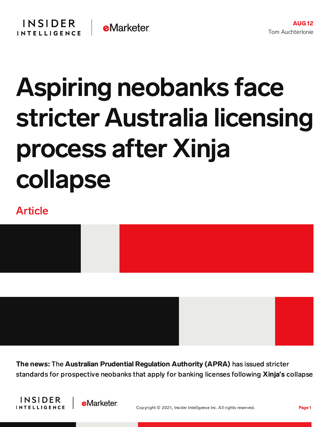## Aspiring neobanks face stricter Australia licensing process after Xinja collapse

## Article



The news: The Australian Prudential Regulation Authority (APRA) has issued stricter standards for prospective neobanks that apply for banking licenses following Xinja**'**s collapse



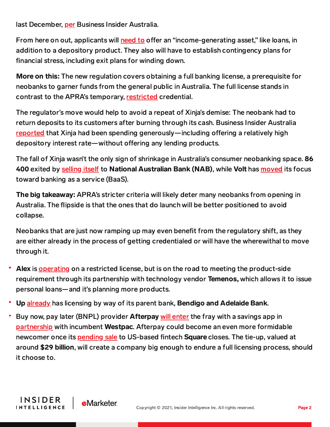last December, [per](https://www.businessinsider.com.au/xinja-collapse-neobank-banking-licence-apra) Business Insider Australia.

From here on out, applicants will [need](https://www.apra.gov.au/sites/default/files/2021-08/Information%20paper%20-%20ADIs%20New%20entrants%20-%20a%20pathway%20to%20sustainability_0.pdf) to offer an "income-generating asset," like loans, in addition to a depository product. They also will have to establish contingency plans for financial stress, including exit plans for winding down.

More on this: The new regulation covers obtaining a full banking license, a prerequisite for neobanks to garner funds from the general public in Australia. The full license stands in contrast to the APRA's temporary, [restricted](https://www.apra.gov.au/sites/default/files/2021-08/Information%20paper%20-%20ADIs%20New%20entrants%20-%20a%20pathway%20to%20sustainability_0.pdf) credential.

The regulator's move would help to avoid a repeat of Xinja's demise: The neobank had to return deposits to its customers after burning through its cash. Business Insider Australia [reported](https://www.businessinsider.com.au/xinja-closes-neobanks-australia-future-2021-1) that Xinja had been spending generously—including offering a relatively high depository interest rate—without offering any lending products.

The fall of Xinja wasn't the only sign of shrinkage in Australia's consumer neobanking space. 86 400 exited by [selling](https://content-na2.emarketer.com/nab-clears-final-86-400-acquisition-hurdle) itself to National Australian Bank (NAB), while Volt has [moved](https://content-na2.emarketer.com/volt-teams-up-with-australian-mortgage-marketplace-boost-its-product-launch) its focus toward banking as a service (BaaS).

The big takeaway: APRA's stricter criteria will likely deter many neobanks from opening in Australia. The flipside is that the ones that do launch will be better positioned to avoid collapse.

Neobanks that are just now ramping up may even benefit from the regulatory shift, as they are either already in the process of getting credentialed or will have the wherewithal to move through it.

- Alex is [operating](https://content-na2.emarketer.com/alex-new-australian-neobank-on-block-launches-temenos-collaboration?utm_campaign=banking+briefing+08/06/2021+alex+australia+temenos&utm_medium=email&utm_source=triggermail&utm_term=bii+list+banking+all) on a restricted license, but is on the road to meeting the product-side requirement through its partnership with technology vendor Temenos, which allows it to issue personal loans—and it's planning more products.
- Up [already](https://content-na2.emarketer.com/alex-new-australian-neobank-on-block-launches-temenos-collaboration?utm_campaign=banking+briefing+08/06/2021+alex+australia+temenos&utm_medium=email&utm_source=triggermail&utm_term=bii+list+banking+all) has licensing by way of its parent bank, Bendigo and Adelaide Bank.
- Buy now, pay later (BNPL) provider **Afterpay** will [enter](https://content-na2.emarketer.com/afterpay-plans-dive-open-waters-of-australian-neobanking-with-savings-app) the fray with a savings app in [partnership](https://content-na2.emarketer.com/afterpay-plans-dive-open-waters-of-australian-neobanking-with-savings-app) with incumbent Westpac. Afterpay could become an even more formidable newcomer once its **[pending](https://content-na2.emarketer.com/afterpay-deal-gives-square-neobanking-opportunities-us-australia) sale** to US-based fintech **Square** closes. The tie-up, valued at around \$29 billion, will create a company big enough to endure a full licensing process, should it choose to.